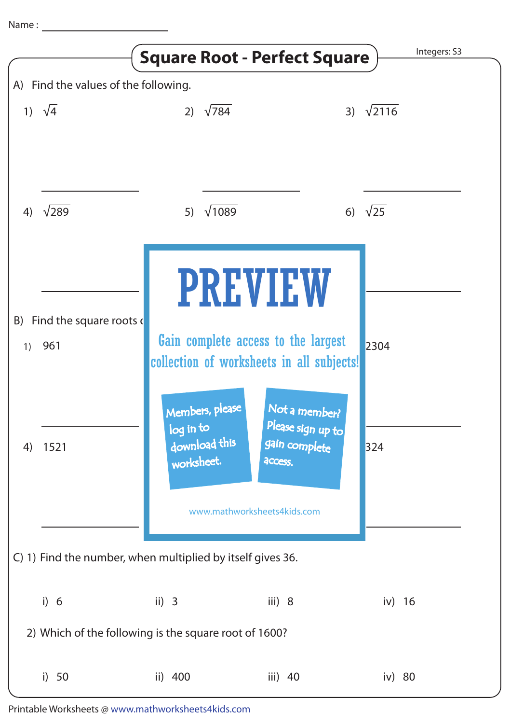|                                                            |               | <b>Square Root - Perfect Square</b>                                                                                                     |                                                                | Integers: S3  |
|------------------------------------------------------------|---------------|-----------------------------------------------------------------------------------------------------------------------------------------|----------------------------------------------------------------|---------------|
| A) Find the values of the following.                       |               |                                                                                                                                         |                                                                |               |
|                                                            | 1) $\sqrt{4}$ | $\sqrt{784}$<br>2)                                                                                                                      | 3)                                                             | $\sqrt{2116}$ |
| 4)                                                         | $\sqrt{289}$  | $\sqrt{1089}$<br>5)                                                                                                                     | 6)                                                             | $\sqrt{25}$   |
|                                                            |               | <b>PREVIEW</b>                                                                                                                          |                                                                |               |
| Find the square roots of<br>B)                             |               |                                                                                                                                         |                                                                |               |
| 1)                                                         | 961           | Gain complete access to the largest                                                                                                     |                                                                | 2304          |
| 4)                                                         | 1521          | collection of worksheets in all subjects!<br>Members, please<br>log in to<br>download this<br>worksheet.<br>www.mathworksheets4kids.com | Not a member?<br>Please sign up to<br>gain complete<br>access. | 324           |
| C) 1) Find the number, when multiplied by itself gives 36. |               |                                                                                                                                         |                                                                |               |
|                                                            | i) 6          | ii) $3$                                                                                                                                 | iii) $8$                                                       | iv) $16$      |
| 2) Which of the following is the square root of 1600?      |               |                                                                                                                                         |                                                                |               |
|                                                            | i) $50$       | ii) 400                                                                                                                                 | iii) 40                                                        | iv) 80        |

Printable Worksheets @ www.mathworksheets4kids.com